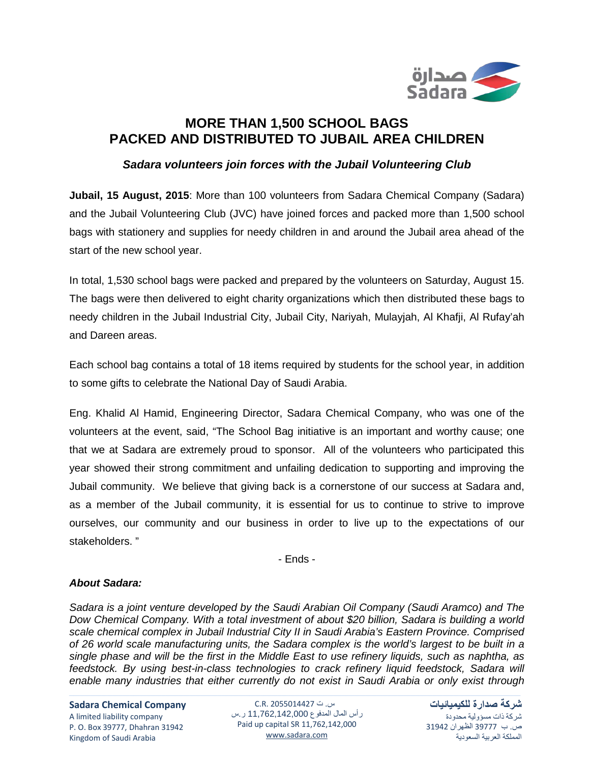

## **MORE THAN 1,500 SCHOOL BAGS PACKED AND DISTRIBUTED TO JUBAIL AREA CHILDREN**

## *Sadara volunteers join forces with the Jubail Volunteering Club*

**Jubail, 15 August, 2015**: More than 100 volunteers from Sadara Chemical Company (Sadara) and the Jubail Volunteering Club (JVC) have joined forces and packed more than 1,500 school bags with stationery and supplies for needy children in and around the Jubail area ahead of the start of the new school year.

In total, 1,530 school bags were packed and prepared by the volunteers on Saturday, August 15. The bags were then delivered to eight charity organizations which then distributed these bags to needy children in the Jubail Industrial City, Jubail City, Nariyah, Mulayjah, Al Khafji, Al Rufay'ah and Dareen areas.

Each school bag contains a total of 18 items required by students for the school year, in addition to some gifts to celebrate the National Day of Saudi Arabia.

Eng. Khalid Al Hamid, Engineering Director, Sadara Chemical Company, who was one of the volunteers at the event, said, "The School Bag initiative is an important and worthy cause; one that we at Sadara are extremely proud to sponsor. All of the volunteers who participated this year showed their strong commitment and unfailing dedication to supporting and improving the Jubail community. We believe that giving back is a cornerstone of our success at Sadara and, as a member of the Jubail community, it is essential for us to continue to strive to improve ourselves, our community and our business in order to live up to the expectations of our stakeholders. "

- Ends -

## *About Sadara:*

*Sadara is a joint venture developed by the Saudi Arabian Oil Company (Saudi Aramco) and The Dow Chemical Company. With a total investment of about \$20 billion, Sadara is building a world scale chemical complex in Jubail Industrial City II in Saudi Arabia's Eastern Province. Comprised of 26 world scale manufacturing units, the Sadara complex is the world's largest to be built in a single phase and will be the first in the Middle East to use refinery liquids, such as naphtha, as feedstock. By using best-in-class technologies to crack refinery liquid feedstock, Sadara will enable many industries that either currently do not exist in Saudi Arabia or only exist through* 

**Sadara Chemical Company** A limited liability company P. O. Box 39777, Dhahran 31942 Kingdom of Saudi Arabia

س. ت 2055014427 .R.C رأس المال المدفوع 11,762,142,000 ر.س Paid up capital SR 11,762,142,000 [www.sadara.com](http://www.sadara.com/)

**شركة صدارة للكيميائيات** شركة ذات مسؤولية محدودة ص. ب 39777 الظهران 31942 المملكة العربية السعودية